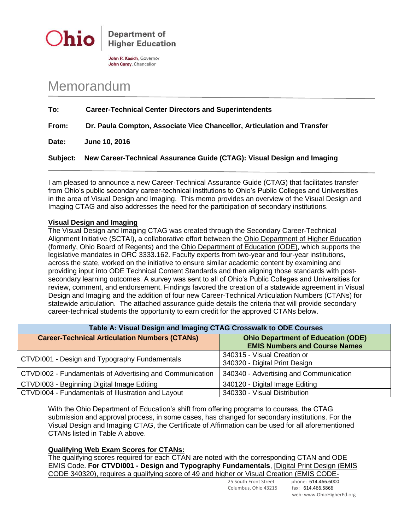



John R. Kasich, Governor John Carey, Chancellor

## Memorandum

| To:      | <b>Career-Technical Center Directors and Superintendents</b>            |
|----------|-------------------------------------------------------------------------|
| From:    | Dr. Paula Compton, Associate Vice Chancellor, Articulation and Transfer |
| Date:    | June 10, 2016                                                           |
| Subject: | New Career-Technical Assurance Guide (CTAG): Visual Design and Imaging  |

I am pleased to announce a new Career-Technical Assurance Guide (CTAG) that facilitates transfer from Ohio's public secondary career-technical institutions to Ohio's Public Colleges and Universities in the area of Visual Design and Imaging. This memo provides an overview of the Visual Design and Imaging CTAG and also addresses the need for the participation of secondary institutions.

## **Visual Design and Imaging**

The Visual Design and Imaging CTAG was created through the Secondary Career-Technical Alignment Initiative (SCTAI), a collaborative effort between the Ohio Department of Higher Education (formerly, Ohio Board of Regents) and the Ohio Department of Education (ODE), which supports the legislative mandates in ORC 3333.162. Faculty experts from two-year and four-year institutions, across the state, worked on the initiative to ensure similar academic content by examining and providing input into ODE Technical Content Standards and then aligning those standards with postsecondary learning outcomes. A survey was sent to all of Ohio's Public Colleges and Universities for review, comment, and endorsement. Findings favored the creation of a statewide agreement in Visual Design and Imaging and the addition of four new Career-Technical Articulation Numbers (CTANs) for statewide articulation. The attached assurance guide details the criteria that will provide secondary career-technical students the opportunity to earn credit for the approved CTANs below.

| Table A: Visual Design and Imaging CTAG Crosswalk to ODE Courses |                                                                                   |  |  |
|------------------------------------------------------------------|-----------------------------------------------------------------------------------|--|--|
| <b>Career-Technical Articulation Numbers (CTANs)</b>             | <b>Ohio Department of Education (ODE)</b><br><b>EMIS Numbers and Course Names</b> |  |  |
| CTVDI001 - Design and Typography Fundamentals                    | 340315 - Visual Creation or<br>340320 - Digital Print Design                      |  |  |
| CTVDI002 - Fundamentals of Advertising and Communication         | 340340 - Advertising and Communication                                            |  |  |
| CTVDI003 - Beginning Digital Image Editing                       | 340120 - Digital Image Editing                                                    |  |  |
| CTVDI004 - Fundamentals of Illustration and Layout               | 340330 - Visual Distribution                                                      |  |  |

With the Ohio Department of Education's shift from offering programs to courses, the CTAG submission and approval process, in some cases, has changed for secondary institutions. For the Visual Design and Imaging CTAG, the Certificate of Affirmation can be used for all aforementioned CTANs listed in Table A above.

## **Qualifying Web Exam Scores for CTANs:**

The qualifying scores required for each CTAN are noted with the corresponding CTAN and ODE EMIS Code. **For CTVDI001 - Design and Typography Fundamentals**, [Digital Print Design (EMIS CODE 340320), requires a qualifying score of 49 and higher or Visual Creation (EMIS CODE-

Columbus, Ohio 43215 fax: 614.466.5866